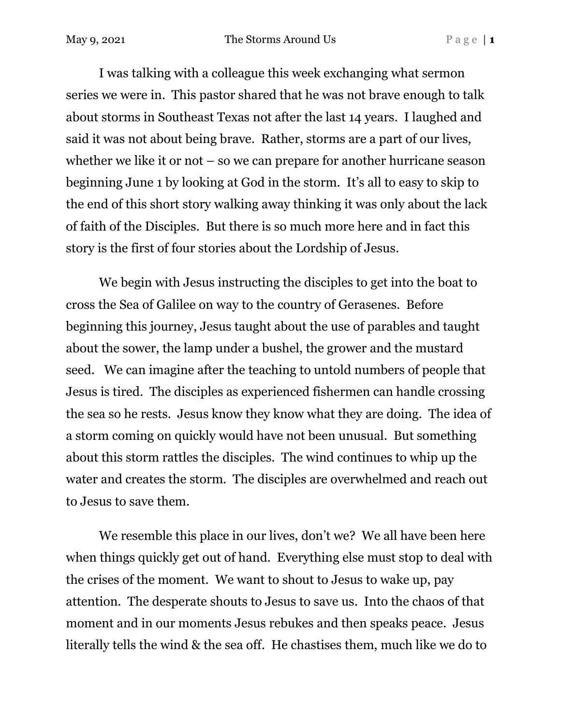May 9, 2021 The Storms Around Us P a g e | **1** 

I was talking with a colleague this week exchanging what sermon series we were in. This pastor shared that he was not brave enough to talk about storms in Southeast Texas not after the last 14 years. I laughed and said it was not about being brave. Rather, storms are a part of our lives, whether we like it or not – so we can prepare for another hurricane season beginning June 1 by looking at God in the storm. It's all to easy to skip to the end of this short story walking away thinking it was only about the lack of faith of the Disciples. But there is so much more here and in fact this story is the first of four stories about the Lordship of Jesus.

We begin with Jesus instructing the disciples to get into the boat to cross the Sea of Galilee on way to the country of Gerasenes. Before beginning this journey, Jesus taught about the use of parables and taught about the sower, the lamp under a bushel, the grower and the mustard seed. We can imagine after the teaching to untold numbers of people that Jesus is tired. The disciples as experienced fishermen can handle crossing the sea so he rests. Jesus know they know what they are doing. The idea of a storm coming on quickly would have not been unusual. But something about this storm rattles the disciples. The wind continues to whip up the water and creates the storm. The disciples are overwhelmed and reach out to Jesus to save them.

We resemble this place in our lives, don't we? We all have been here when things quickly get out of hand. Everything else must stop to deal with the crises of the moment. We want to shout to Jesus to wake up, pay attention. The desperate shouts to Jesus to save us. Into the chaos of that moment and in our moments Jesus rebukes and then speaks peace. Jesus literally tells the wind & the sea off. He chastises them, much like we do to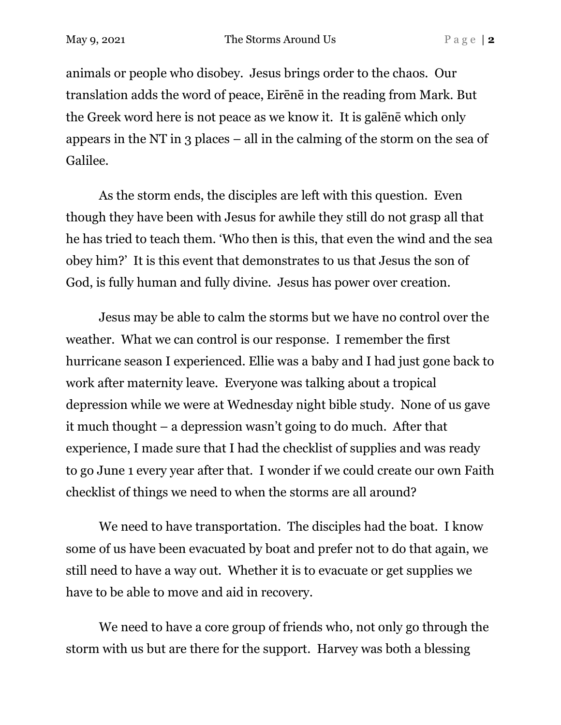animals or people who disobey. Jesus brings order to the chaos. Our translation adds the word of peace, Eirēnē in the reading from Mark. But the Greek word here is not peace as we know it. It is galēnē which only appears in the NT in 3 places – all in the calming of the storm on the sea of Galilee.

As the storm ends, the disciples are left with this question. Even though they have been with Jesus for awhile they still do not grasp all that he has tried to teach them. 'Who then is this, that even the wind and the sea obey him?' It is this event that demonstrates to us that Jesus the son of God, is fully human and fully divine. Jesus has power over creation.

Jesus may be able to calm the storms but we have no control over the weather. What we can control is our response. I remember the first hurricane season I experienced. Ellie was a baby and I had just gone back to work after maternity leave. Everyone was talking about a tropical depression while we were at Wednesday night bible study. None of us gave it much thought – a depression wasn't going to do much. After that experience, I made sure that I had the checklist of supplies and was ready to go June 1 every year after that. I wonder if we could create our own Faith checklist of things we need to when the storms are all around?

We need to have transportation. The disciples had the boat. I know some of us have been evacuated by boat and prefer not to do that again, we still need to have a way out. Whether it is to evacuate or get supplies we have to be able to move and aid in recovery.

We need to have a core group of friends who, not only go through the storm with us but are there for the support. Harvey was both a blessing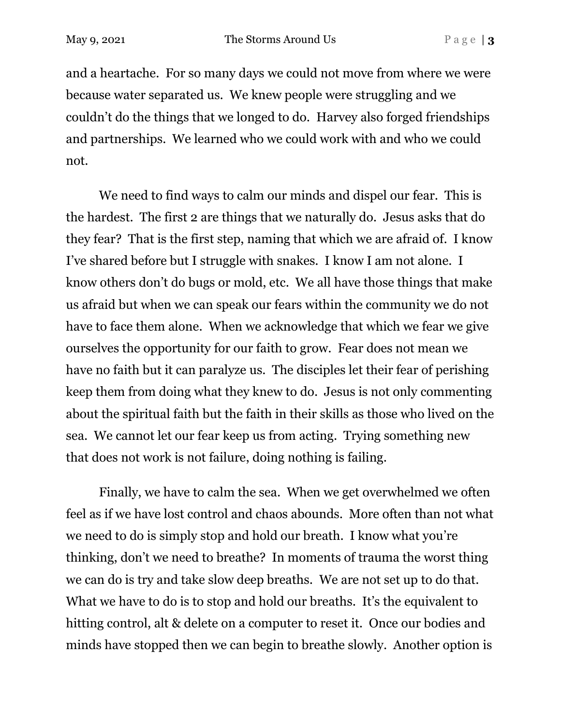and a heartache. For so many days we could not move from where we were because water separated us. We knew people were struggling and we couldn't do the things that we longed to do. Harvey also forged friendships and partnerships. We learned who we could work with and who we could not.

We need to find ways to calm our minds and dispel our fear. This is the hardest. The first 2 are things that we naturally do. Jesus asks that do they fear? That is the first step, naming that which we are afraid of. I know I've shared before but I struggle with snakes. I know I am not alone. I know others don't do bugs or mold, etc. We all have those things that make us afraid but when we can speak our fears within the community we do not have to face them alone. When we acknowledge that which we fear we give ourselves the opportunity for our faith to grow. Fear does not mean we have no faith but it can paralyze us. The disciples let their fear of perishing keep them from doing what they knew to do. Jesus is not only commenting about the spiritual faith but the faith in their skills as those who lived on the sea. We cannot let our fear keep us from acting. Trying something new that does not work is not failure, doing nothing is failing.

Finally, we have to calm the sea. When we get overwhelmed we often feel as if we have lost control and chaos abounds. More often than not what we need to do is simply stop and hold our breath. I know what you're thinking, don't we need to breathe? In moments of trauma the worst thing we can do is try and take slow deep breaths. We are not set up to do that. What we have to do is to stop and hold our breaths. It's the equivalent to hitting control, alt & delete on a computer to reset it. Once our bodies and minds have stopped then we can begin to breathe slowly. Another option is